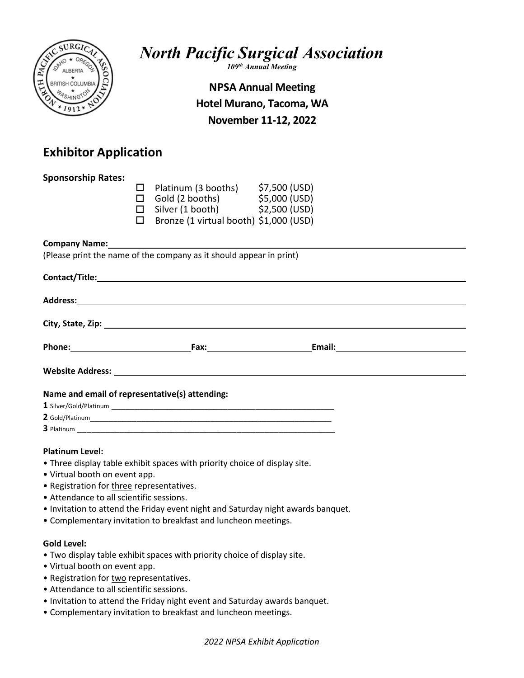

North Pacific Surgical Association

109<sup>th</sup> Annual Meeting

# NPSA Annual Meeting Hotel Murano, Tacoma, WA November 11-12, 2022

# Exhibitor Application

| <b>Sponsorship Rates:</b>                                           |  |                                                                                                                                                                                                                                |  |  |
|---------------------------------------------------------------------|--|--------------------------------------------------------------------------------------------------------------------------------------------------------------------------------------------------------------------------------|--|--|
|                                                                     |  |                                                                                                                                                                                                                                |  |  |
|                                                                     |  | □ Platinum (3 booths) $$7,500$ (USD)<br>□ Gold (2 booths) $$5,000$ (USD)                                                                                                                                                       |  |  |
|                                                                     |  | $\Box$ Silver (1 booth) $$2,500$ (USD)                                                                                                                                                                                         |  |  |
|                                                                     |  | $\Box$ Bronze (1 virtual booth) \$1,000 (USD)                                                                                                                                                                                  |  |  |
|                                                                     |  |                                                                                                                                                                                                                                |  |  |
|                                                                     |  |                                                                                                                                                                                                                                |  |  |
| (Please print the name of the company as it should appear in print) |  |                                                                                                                                                                                                                                |  |  |
|                                                                     |  |                                                                                                                                                                                                                                |  |  |
|                                                                     |  |                                                                                                                                                                                                                                |  |  |
|                                                                     |  |                                                                                                                                                                                                                                |  |  |
|                                                                     |  | Address: Andreas Address: Address: Address: Address: Address: Address: Address: Address: Address: Address: Address: Address: Address: Address: Address: Address: Address: Address: Address: Address: Address: Address: Address |  |  |
|                                                                     |  |                                                                                                                                                                                                                                |  |  |
|                                                                     |  |                                                                                                                                                                                                                                |  |  |
|                                                                     |  |                                                                                                                                                                                                                                |  |  |
|                                                                     |  |                                                                                                                                                                                                                                |  |  |
|                                                                     |  |                                                                                                                                                                                                                                |  |  |
|                                                                     |  |                                                                                                                                                                                                                                |  |  |
| Name and email of representative(s) attending:                      |  |                                                                                                                                                                                                                                |  |  |
|                                                                     |  |                                                                                                                                                                                                                                |  |  |
|                                                                     |  |                                                                                                                                                                                                                                |  |  |

3 Platinum \_\_\_\_\_\_\_\_\_\_\_\_\_\_\_\_\_\_\_\_\_\_\_\_\_\_\_\_\_\_\_\_\_\_\_\_\_\_\_\_\_\_\_\_\_\_\_\_\_\_\_\_\_\_\_

# Platinum Level:

- Three display table exhibit spaces with priority choice of display site.
- Virtual booth on event app.
- Registration for three representatives.
- Attendance to all scientific sessions.
- Invitation to attend the Friday event night and Saturday night awards banquet.
- Complementary invitation to breakfast and luncheon meetings.

# Gold Level:

- Two display table exhibit spaces with priority choice of display site.
- Virtual booth on event app.
- Registration for two representatives.
- Attendance to all scientific sessions.
- Invitation to attend the Friday night event and Saturday awards banquet.
- Complementary invitation to breakfast and luncheon meetings.